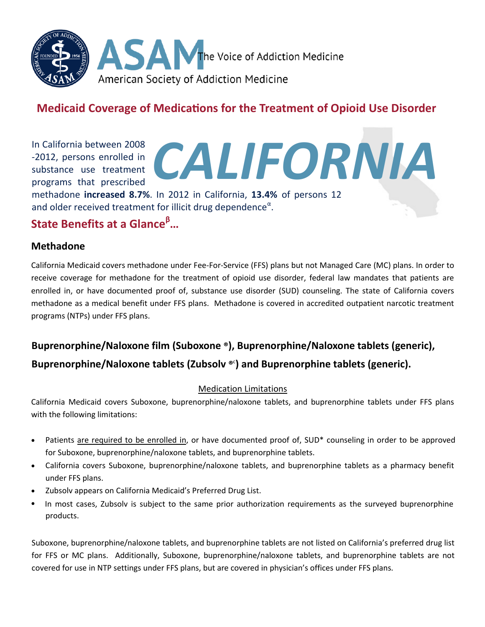

## **Medicaid Coverage of Medications for the Treatment of Opioid Use Disorder**

*CALIFORNIA*

In California between 2008 -2012, persons enrolled in substance use treatment programs that prescribed

methadone **increased 8.7%**. In 2012 in California, **13.4%** of persons aged 12 and older who met criteria for having a drug use disorder received treatment<sup>α</sup>.

# **State Benefits at a Glance<sup>β</sup>…**

#### **Methadone**

California Medicaid covers methadone under Fee-For-Service (FFS) plans but not Managed Care (MC) plans. In order to receive coverage for methadone for the treatment of opioid use disorder, federal law mandates that patients are enrolled in, or have documented proof of, substance use disorder (SUD) counseling. The state of California covers methadone as a medical benefit under FFS plans. Methadone is covered in accredited outpatient narcotic treatment programs (NTPs) under FFS plans.

### **Buprenorphine/Naloxone film (Suboxone ®), Buprenorphine/Naloxone tablets (generic),**

### **Buprenorphine/Naloxone tablets (Zubsolv ®** c **) and Buprenorphine tablets (generic).**

#### Medication Limitations

California Medicaid covers Suboxone, buprenorphine/naloxone tablets, and buprenorphine tablets under FFS plans with the following limitations:

- Patients are required to be enrolled in, or have documented proof of, SUD\* counseling in order to be approved for Suboxone, buprenorphine/naloxone tablets, and buprenorphine tablets.
- California covers Suboxone, buprenorphine/naloxone tablets, and buprenorphine tablets as a pharmacy benefit under FFS plans.
- Zubsolv appears on California Medicaid's Preferred Drug List.
- In most cases, Zubsolv is subject to the same prior authorization requirements as the surveyed buprenorphine products.

Suboxone, buprenorphine/naloxone tablets, and buprenorphine tablets are not listed on California's preferred drug list for FFS or MC plans. Additionally, Suboxone, buprenorphine/naloxone tablets, and buprenorphine tablets are not covered for use in NTP settings under FFS plans, but are covered in physician's offices under FFS plans*.*